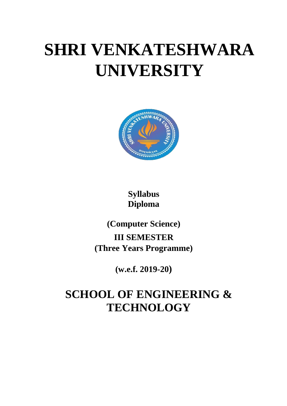# **SHRI VENKATESHWARA UNIVERSITY**



**Syllabus Diploma**

**(Computer Science) III SEMESTER (Three Years Programme)** 

**(w.e.f. 2019-20)**

## **SCHOOL OF ENGINEERING & TECHNOLOGY**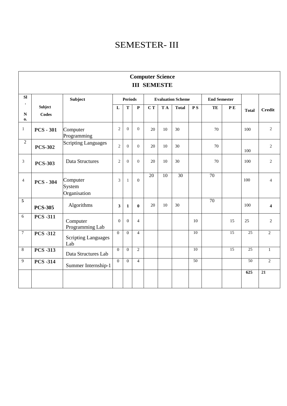### SEMESTER- III

| <b>Computer Science</b><br><b>III SEMESTE</b> |                                    |                        |                |                |                 |     |              |     |                          |     |                        |                                   |
|-----------------------------------------------|------------------------------------|------------------------|----------------|----------------|-----------------|-----|--------------|-----|--------------------------|-----|------------------------|-----------------------------------|
|                                               | <b>Subject</b>                     |                        |                |                |                 |     |              |     |                          |     |                        |                                   |
| Subject<br><b>Codes</b>                       |                                    | $\mathbf{L}$           | $\mathbf T$    | $\mathbf P$    | C T             | T A | <b>Total</b> | P S | TE                       | P E | <b>Total</b>           | <b>Credit</b>                     |
| <b>PCS - 301</b>                              | Computer<br>Programming            | $\overline{2}$         | $\Omega$       | $\overline{0}$ | 20              | 10  | 30           |     | 70                       |     | 100                    | $\overline{2}$                    |
| <b>PCS-302</b>                                | <b>Scripting Languages</b>         | $\overline{2}$         | $\overline{0}$ | $\overline{0}$ | 20              | 10  | 30           |     | 70                       |     | 100                    | $\overline{2}$                    |
| <b>PCS-303</b>                                | Data Structures                    | $\overline{2}$         | $\Omega$       | $\Omega$       | 20              | 10  | 30           |     | 70                       |     | 100                    | $\overline{2}$                    |
| <b>PCS - 304</b>                              | Computer<br>System<br>Organisation | 3                      | $\mathbf{1}$   | $\mathbf{0}$   | $\overline{20}$ | 10  | 30           |     | 70                       |     | 100                    | $\overline{4}$                    |
| <b>PCS-305</b>                                | Algorithms                         | 3                      | $\mathbf{1}$   | $\bf{0}$       | 20              | 10  | 30           |     | 70                       |     | 100                    | $\overline{\mathbf{4}}$           |
| <b>PCS -311</b>                               | Computer                           | $\theta$               | $\mathbf{0}$   | $\overline{4}$ |                 |     |              | 10  |                          | 15  | 25                     | $\overline{2}$                    |
| <b>PCS -312</b>                               | <b>Scripting Languages</b>         | $\overline{0}$         | $\overline{0}$ | $\overline{4}$ |                 |     |              | 10  |                          | 15  | 25                     | $\overline{2}$                    |
| <b>PCS -313</b>                               | Data Structures Lab                | $\Omega$               | $\overline{0}$ | $\overline{2}$ |                 |     |              | 10  |                          | 15  | 25                     | $\mathbf{1}$                      |
| <b>PCS -314</b>                               | Summer Internship-1                | $\overline{0}$         | $\overline{0}$ | $\overline{4}$ |                 |     |              | 50  |                          |     | $\overline{50}$<br>625 | $\overline{2}$<br>$\overline{21}$ |
|                                               |                                    | Programming Lab<br>Lab |                |                | <b>Periods</b>  |     |              |     | <b>Evaluation Scheme</b> |     | <b>End Semester</b>    |                                   |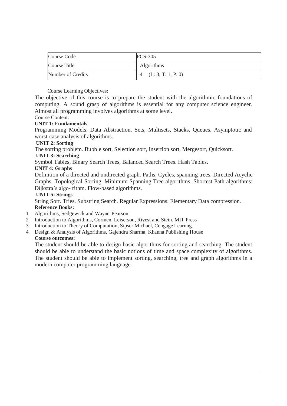| Course Code       | <b>PCS-305</b>         |
|-------------------|------------------------|
| Course Title      | <b>Algorithms</b>      |
| Number of Credits | 4 $(L: 3, T: 1, P: 0)$ |

The objective of this course is to prepare the student with the algorithmic foundations of computing. A sound grasp of algorithms is essential for any computer science engineer. Almost all programming involves algorithms at some level.

#### Course Content:

#### **UNIT 1: Fundamentals**

Programming Models. Data Abstraction. Sets, Multisets, Stacks, Queues. Asymptotic and worst-case analysis of algorithms.

#### **UNIT 2: Sorting**

The sorting problem. Bubble sort, Selection sort, Insertion sort, Mergesort, Quicksort.

#### **UNIT 3: Searching**

Symbol Tables, Binary Search Trees, Balanced Search Trees. Hash Tables.

#### **UNIT 4: Graphs**

Definition of a directed and undirected graph. Paths, Cycles, spanning trees. Directed Acyclic Graphs. Topological Sorting. Minimum Spanning Tree algorithms. Shortest Path algorithms: Dijkstra's algo- rithm. Flow-based algorithms.

#### **UNIT 5: Strings**

String Sort. Tries. Substring Search. Regular Expressions. Elementary Data compression. **Reference Books:**

- 1. Algorithms, Sedgewick and Wayne, Pearson
- 2. Introduction to Algorithms, Cormen, Leiserson, Rivest and Stein. MIT Press
- 3. Introduction to Theory of Computation, Sipser Michael, Cengage Learnng.
- 4. Design & Analysis of Algorithms, Gajendra Sharma, Khanna Publishing House

#### **Course outcomes:**

The student should be able to design basic algorithms for sorting and searching. The student should be able to understand the basic notions of time and space complexity of algorithms. The student should be able to implement sorting, searching, tree and graph algorithms in a modern computer programming language.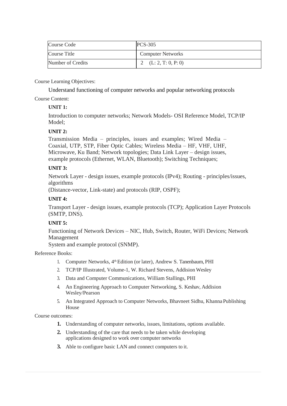| Course Code       | $PCS-305$                |
|-------------------|--------------------------|
| Course Title      | <b>Computer Networks</b> |
| Number of Credits | 2 $(L: 2, T: 0, P: 0)$   |

Understand functioning of computer networks and popular networking protocols

Course Content:

#### **UNIT 1:**

Introduction to computer networks; Network Models- OSI Reference Model, TCP/IP Model;

#### **UNIT 2:**

Transmission Media – principles, issues and examples; Wired Media – Coaxial, UTP, STP, Fiber Optic Cables; Wireless Media – HF, VHF, UHF, Microwave, Ku Band; Network topologies; Data Link Layer – design issues, example protocols (Ethernet, WLAN, Bluetooth); Switching Techniques;

#### **UNIT 3:**

Network Layer - design issues, example protocols (IPv4); Routing - principles/issues, algorithms

(Distance-vector, Link-state) and protocols (RIP, OSPF);

#### **UNIT 4:**

Transport Layer - design issues, example protocols (TCP); Application Layer Protocols (SMTP, DNS).

#### **UNIT 5:**

Functioning of Network Devices – NIC, Hub, Switch, Router, WiFi Devices; Network Management

System and example protocol (SNMP).

#### Reference Books:

- 1. Computer Networks, 4<sup>th</sup> Edition (or later), Andrew S. Tanenbaum, PHI
- 2. TCP/IP Illustrated, Volume-1, W. Richard Stevens, Addision Wesley
- 3. Data and Computer Communications, William Stallings, PHI
- 4. An Engineering Approach to Computer Networking, S. Keshav, Addision Wesley/Pearson
- 5. An Integrated Approach to Computer Networks, Bhavneet Sidhu, Khanna Publishing House

Course outcomes:

- **1.** Understanding of computer networks, issues, limitations, options available.
- **2.** Understanding of the care that needs to be taken while developing applications designed to work over computer networks
- **3.** Able to configure basic LAN and connect computers to it.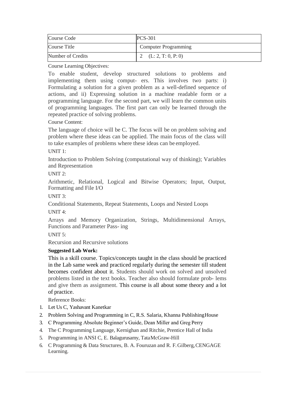| Course Code       | $PCS-301$                   |  |  |
|-------------------|-----------------------------|--|--|
| Course Title      | <b>Computer Programming</b> |  |  |
| Number of Credits | 2 $(L: 2, T: 0, P: 0)$      |  |  |

To enable student, develop structured solutions to problems and implementing them using comput- ers. This involves two parts: i) Formulating a solution for a given problem as a well-defined sequence of actions, and ii) Expressing solution in a machine readable form or a programming language. For the second part, we will learn the common units of programming languages. The first part can only be learned through the repeated practice of solving problems.

#### Course Content:

The language of choice will be C. The focus will be on problem solving and problem where these ideas can be applied. The main focus of the class will to take examples of problems where these ideas can be employed.

#### UNIT 1:

Introduction to Problem Solving (computational way of thinking); Variables and Representation

#### UNIT  $2$

Arithmetic, Relational, Logical and Bitwise Operators; Input, Output, Formatting and File I/O

#### UNIT 3:

Conditional Statements, Repeat Statements, Loops and Nested Loops

UNIT 4:

Arrays and Memory Organization, Strings, Multidimensional Arrays, Functions and Parameter Pass- ing

#### UNIT 5:

Recursion and Recursive solutions

#### **Suggested Lab Work:**

This is a skill course. Topics/concepts taught in the class should be practiced in the Lab same week and practiced regularly during the semester till student becomes confident about it. Students should work on solved and unsolved problems listed in the text books. Teacher also should formulate prob- lems and give them as assignment. This course is all about some theory and a lot of practice.

- 1. Let Us C, Yashavant Kanetkar
- 2. Problem Solving and Programming in C, R.S. Salaria, Khanna PublishingHouse
- 3. C Programming Absolute Beginner's Guide, Dean Miller and Greg Perry
- 4. The C Programming Language, Kernighan and Ritchie, Prentice Hall of India
- 5. Programming in ANSI C, E. Balagurusamy, TataMcGraw-Hill
- 6. C Programming & Data Structures, B. A. Fouruzan and R. F.Gilberg,CENGAGE Learning.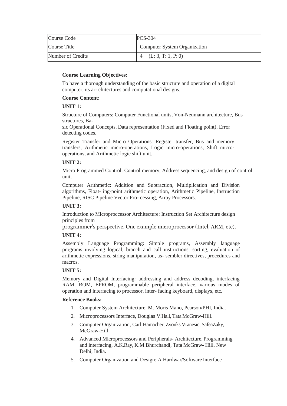| Course Code       | <b>PCS-304</b>               |
|-------------------|------------------------------|
| Course Title      | Computer System Organization |
| Number of Credits | 4 (L: 3, T: 1, P: 0)         |

To have a thorough understanding of the basic structure and operation of a digital computer, its ar- chitectures and computational designs.

#### **Course Content:**

#### **UNIT 1:**

Structure of Computers: Computer Functional units, Von-Neumann architecture, Bus structures, Ba-

sic Operational Concepts, Data representation (Fixed and Floating point), Error detecting codes.

Register Transfer and Micro Operations: Register transfer, Bus and memory transfers, Arithmetic micro-operations, Logic micro-operations, Shift microoperations, and Arithmetic logic shift unit.

#### **UNIT 2:**

Micro Programmed Control: Control memory, Address sequencing, and design of control unit.

Computer Arithmetic: Addition and Subtraction, Multiplication and Division algorithms, Float- ing-point arithmetic operation, Arithmetic Pipeline, Instruction Pipeline, RISC Pipeline Vector Pro- cessing, Array Processors.

#### **UNIT 3:**

Introduction to Microproccessor Architecture: Instruction Set Architecture design principles from

programmer's perspective. One example microprocessor (Intel, ARM, etc).

#### **UNIT 4:**

Assembly Language Programming: Simple programs, Assembly language programs involving logical, branch and call instructions, sorting, evaluation of arithmetic expressions, string manipulation, as- sembler directives, procedures and macros.

#### **UNIT 5:**

Memory and Digital Interfacing: addressing and address decoding, interfacing RAM, ROM, EPROM, programmable peripheral interface, various modes of operation and interfacing to processor, inter- facing keyboard, displays, etc.

- 1. Computer System Architecture, M. Moris Mano, Pearson/PHI, India.
- 2. Microprocessors Interface, Douglas V.Hall, Tata McGraw-Hill.
- 3. Computer Organization, Carl Hamacher, Zvonks Vranesic, SafeaZaky, McGraw-Hill
- 4. Advanced Microprocessors and Peripherals- Architecture, Programming and interfacing, A.K.Ray, K.M.Bhurchandi, Tata McGraw- Hill, New Delhi, India.
- 5. Computer Organization and Design: A Hardwar/Software Interface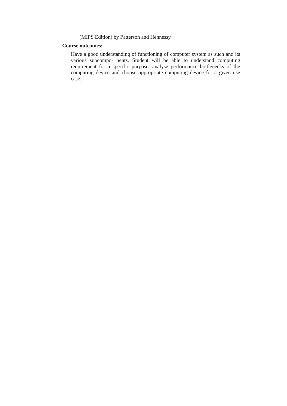(MIPS Edition) by Patterson and Hennessy

#### **Course outcomes:**

Have a good understanding of functioning of computer system as such and its various subcompo- nents. Student will be able to understand computing requirement for a specific purpose, analyse performance bottlenecks of the computing device and choose appropriate computing device for a given use case.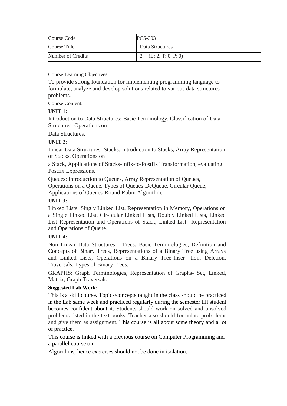| Course Code       | <b>PCS-303</b>         |
|-------------------|------------------------|
| Course Title      | Data Structures        |
| Number of Credits | 2 $(L: 2, T: 0, P: 0)$ |

To provide strong foundation for implementing programming language to formulate, analyze and develop solutions related to various data structures problems.

Course Content:

#### **UNIT 1:**

Introduction to Data Structures: Basic Terminology, Classification of Data Structures, Operations on

Data Structures.

#### **UNIT 2:**

Linear Data Structures- Stacks: Introduction to Stacks, Array Representation of Stacks, Operations on

a Stack, Applications of Stacks-Infix-to-Postfix Transformation, evaluating Postfix Expressions.

Queues: Introduction to Queues, Array Representation of Queues, Operations on a Queue, Types of Queues-DeQueue, Circular Queue, Applications of Queues-Round Robin Algorithm.

#### **UNIT 3:**

Linked Lists: Singly Linked List, Representation in Memory, Operations on a Single Linked List, Cir- cular Linked Lists, Doubly Linked Lists, Linked List Representation and Operations of Stack, Linked List Representation and Operations of Queue.

#### **UNIT 4:**

Non Linear Data Structures - Trees: Basic Terminologies, Definition and Concepts of Binary Trees, Representations of a Binary Tree using Arrays and Linked Lists, Operations on a Binary Tree-Inser- tion, Deletion, Traversals, Types of Binary Trees.

GRAPHS: Graph Terminologies, Representation of Graphs- Set, Linked, Matrix, Graph Traversals

#### **Suggested Lab Work:**

This is a skill course. Topics/concepts taught in the class should be practiced in the Lab same week and practiced regularly during the semester till student becomes confident about it. Students should work on solved and unsolved problems listed in the text books. Teacher also should formulate prob- lems and give them as assignment. This course is all about some theory and a lot of practice.

This course is linked with a previous course on Computer Programming and a parallel course on

Algorithms, hence exercises should not be done in isolation.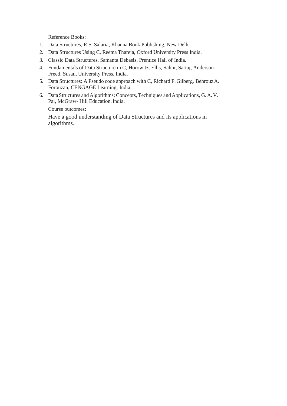Reference Books:

- 1. Data Structures, R.S. Salaria, Khanna Book Publishing, New Delhi
- 2. Data Structures Using C, Reema Thareja, Oxford University Press India.
- 3. Classic Data Structures, Samanta Debasis, Prentice Hall of India.
- 4. Fundamentals of Data Structure in C, Horowitz, Ellis, Sahni, Sartaj, Anderson-Freed, Susan, University Press, India.
- 5. Data Structures: A Pseudo code approach with C, Richard F. Gilberg, BehrouzA. Forouzan, CENGAGE Learning, India.
- 6. Data Structures and Algorithms: Concepts, Techniques and Applications, G. A. V. Pai, McGraw- Hill Education, India.

Course outcomes:

Have a good understanding of Data Structures and its applications in algorithms.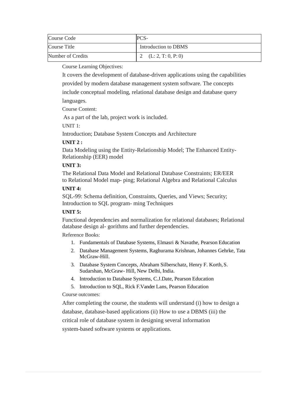| Course Code       | PCS-                   |
|-------------------|------------------------|
| Course Title      | Introduction to DBMS   |
| Number of Credits | 2 $(L: 2, T: 0, P: 0)$ |

It covers the development of database-driven applications using the capabilities provided by modern database management system software. The concepts include conceptual modeling, relational database design and database query languages.

Course Content:

As a part of the lab, project work is included.

UNIT 1:

Introduction; Database System Concepts and Architecture

#### **UNIT 2 :**

Data Modeling using the Entity-Relationship Model; The Enhanced Entity-Relationship (EER) model

#### **UNIT 3:**

The Relational Data Model and Relational Database Constraints; ER/EER to Relational Model map- ping; Relational Algebra and Relational Calculus

#### **UNIT 4:**

SQL-99: Schema definition, Constraints, Queries, and Views; Security; Introduction to SQL program- ming Techniques

#### **UNIT 5:**

Functional dependencies and normalization for relational databases; Relational database design al- gorithms and further dependencies.

Reference Books:

- 1. Fundamentals of Database Systems, Elmasri & Navathe, Pearson Education
- 2. Database Management Systems, Raghurama Krishnan, Johannes Gehrke, Tata McGraw-Hill.
- 3. Database System Concepts, Abraham Silberschatz, Henry F. Korth, S. Sudarshan, McGraw- Hill, New Delhi, India.
- 4. Introduction to Database Systems, C.J.Date, Pearson Education
- 5. Introduction to SQL, Rick F.Vander Lans, Pearson Education

#### Course outcomes:

After completing the course, the students will understand (i) how to design a database, database-based applications (ii) How to use a DBMS (iii) the critical role of database system in designing several information system-based software systems or applications.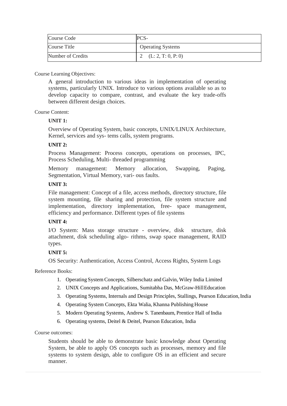| Course Code       | PCS-                     |
|-------------------|--------------------------|
| Course Title      | <b>Operating Systems</b> |
| Number of Credits | 2 $(L: 2, T: 0, P: 0)$   |

A general introduction to various ideas in implementation of operating systems, particularly UNIX. Introduce to various options available so as to develop capacity to compare, contrast, and evaluate the key trade-offs between different design choices.

#### Course Content:

#### **UNIT 1:**

Overview of Operating System, basic concepts, UNIX/LINUX Architecture, Kernel, services and sys- tems calls, system programs.

#### **UNIT 2:**

Process Management: Process concepts, operations on processes, IPC, Process Scheduling, Multi- threaded programming

Memory management: Memory allocation, Swapping, Paging, Segmentation, Virtual Memory, vari- ous faults.

#### **UNIT 3:**

File management: Concept of a file, access methods, directory structure, file system mounting, file sharing and protection, file system structure and implementation, directory implementation, free- space management, efficiency and performance. Different types of file systems

#### **UNIT 4:**

I/O System: Mass storage structure - overview, disk structure, disk attachment, disk scheduling algo- rithms, swap space management, RAID types.

#### **UNIT 5:**

OS Security: Authentication, Access Control, Access Rights, System Logs

Reference Books:

- 1. Operating System Concepts, Silberschatz and Galvin, Wiley India Limited
- 2. UNIX Concepts and Applications, Sumitabha Das, McGraw-HillEducation
- 3. Operating Systems, Internals and Design Principles, Stallings, Pearson Education,India
- 4. Operating System Concepts, Ekta Walia, Khanna Publishing House
- 5. Modern Operating Systems, Andrew S. Tanenbaum, Prentice Hall of India
- 6. Operating systems, Deitel & Deitel, Pearson Education, India

Course outcomes:

Students should be able to demonstrate basic knowledge about Operating System, be able to apply OS concepts such as processes, memory and file systems to system design, able to configure OS in an efficient and secure manner.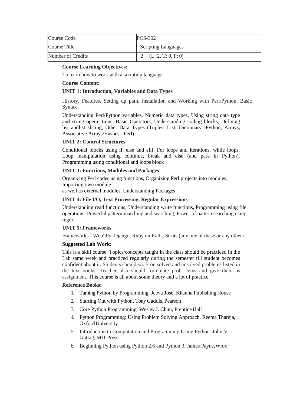| Course Code       | <b>PCS-302</b>             |
|-------------------|----------------------------|
| Course Title      | <b>Scripting Languages</b> |
| Number of Credits | 2 $(L: 2, T: 0, P: 0)$     |

To learn how to work with a scripting language.

#### **Course Content:**

#### **UNIT 1: Introduction, Variables and Data Types**

History, Features, Setting up path, Installation and Working with Perl/Python, Basic Syntax

Understanding Perl/Python variables, Numeric data types, Using string data type and string opera- tions, Basic Operators, Understanding coding blocks, Defining list andlist slicing, Other Data Types (Tuples, List, Dictionary -Python, Arrays, Associative Arrays/Hashes - Perl)

#### **UNIT 2: Control Structures**

Conditional blocks using if, else and elif, For loops and iterations, while loops, Loop manipulation using continue, break and else (and pass in Python), Programming using conditional and loops block

#### **UNIT 3: Functions, Modules and Packages**

Organizing Perl codes using functions, Organizing Perl projects into modules, Importing own module

as well as external modules, Understanding Packages

#### **UNIT 4: File I/O, Text Processing, Regular Expressions**

Understanding read functions, Understanding write functions, Programming using file operations, Powerful pattern matching and searching, Power of pattern searching using regex

#### **UNIT 5: Frameworks**

Frameworks - Web2Py, Django, Ruby on Rails, Struts (any one of these or any other)

#### **Suggested Lab Work:**

This is a skill course. Topics/concepts taught in the class should be practiced in the Lab same week and practiced regularly during the semester till student becomes confident about it. Students should work on solved and unsolved problems listed in the text books. Teacher also should formulate prob- lems and give them as assignment. This course is all about some theory and a lot of practice.

- 1. Taming Python by Programming, Jeeva Jose, Khanna Publishing House
- 2. Starting Out with Python, Tony Gaddis, Pearson
- 3. Core Python Programming, Wesley J. Chun, Prentice Hall
- 4. Python Programming: Using Problem Solving Approach, Reema Thareja, OxfordUniversity
- 5. Introduction to Computation and Programming Using Python. John V. Guttag, MIT Press.
- 6. Beginning Python using Python 2.6 and Python 3, James Payne,Wrox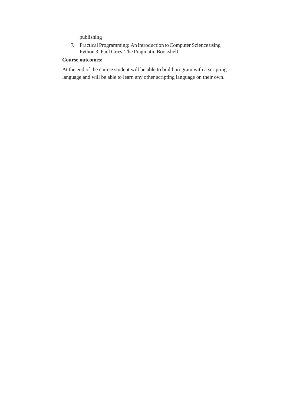publishing

7. Practical Programming: An Introduction to Computer Science using Python 3, Paul Gries, The Pragmatic Bookshelf

#### **Course outcomes:**

At the end of the course student will be able to build program with a scripting language and will be able to learn any other scripting language on their own.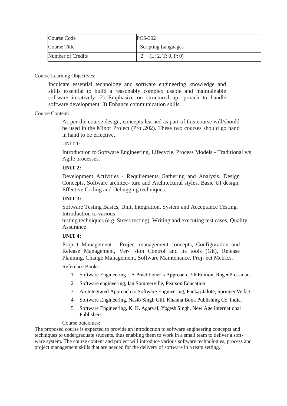| Course Code       | <b>PCS-302</b>             |
|-------------------|----------------------------|
| Course Title      | <b>Scripting Languages</b> |
| Number of Credits | 2 $(L: 2, T: 0, P: 0)$     |

Inculcate essential technology and software engineering knowledge and skills essential to build a reasonably complex usable and maintainable software iteratively. 2) Emphasize on structured ap- proach to handle software development. 3) Enhance communication skills.

#### Course Content:

As per the course design, concepts learned as part of this course will/should be used in the Minor Project (Proj.202). These two courses should go hand in hand to be effective.

UNIT 1:

Introduction to Software Engineering, Lifecycle, Process Models - Traditional v/s Agile processes.

#### **UNIT 2:**

Development Activities - Requirements Gathering and Analysis, Design Concepts, Software architec- ture and Architectural styles, Basic UI design, Effective Coding and Debugging techniques.

#### **UNIT 3:**

Software Testing Basics, Unit, Integration, System and Acceptance Testing, Introduction to various

testing techniques (e.g. Stress testing), Writing and executing test cases, Quality Assurance.

#### **UNIT 4:**

Project Management - Project management concepts, Configuration and Release Management, Ver- sion Control and its tools (Git), Release Planning, Change Management, Software Maintenance, Proj- ect Metrics.

#### Reference Books:

- 1. Software Engineering A Practitioner's Approach, 7th Edition, Roger Pressman.
- 2. Software engineering, Ian Sommerville, Pearson Education
- 3. An Integrated Approach to Software Engineering, Pankaj Jalote, Springer Verlag
- 4. Software Engineering, Nasib Singh Gill, Khanna Book Publishing Co. India.
- 5. Software Engineering, K. K. Agarval, Yogesh Singh, New Age International Publishers

#### Course outcomes:

The proposed course is expected to provide an introduction to software engineering concepts and techniques to undergraduate students, thus enabling them to work in a small team to deliver a software system. The course content and project will introduce various software technologies, process and project management skills that are needed for the delivery of software in a team setting.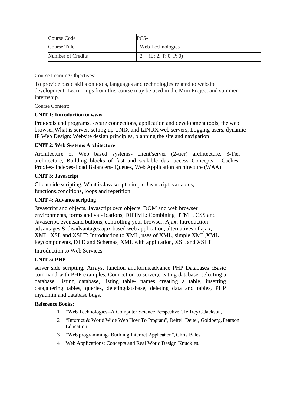| Course Code       | PCS-                   |
|-------------------|------------------------|
| Course Title      | Web Technologies       |
| Number of Credits | 2 $(L: 2, T: 0, P: 0)$ |

To provide basic skills on tools, languages and technologies related to website development. Learn- ings from this course may be used in the Mini Project and summer internship.

Course Content:

#### **UNIT 1: Introduction to www**

Protocols and programs, secure connections, application and development tools, the web browser,What is server, setting up UNIX and LINUX web servers, Logging users, dynamic IP Web Design: Website design principles, planning the site and navigation

#### **UNIT 2: Web Systems Architecture**

Architecture of Web based systems- client/server (2-tier) architecture, 3-Tier architecture, Building blocks of fast and scalable data access Concepts - Caches-Proxies- Indexes-Load Balancers- Queues, Web Application architecture (WAA)

#### **UNIT 3: Javascript**

Client side scripting, What is Javascript, simple Javascript, variables, functions,conditions, loops and repetition

#### **UNIT 4: Advance scripting**

Javascript and objects, Javascript own objects, DOM and web browser environments, forms and val- idations, DHTML: Combining HTML, CSS and Javascript, eventsand buttons, controlling your browser, Ajax: Introduction advantages & disadvantages,ajax based web application, alternatives of ajax, XML, XSL and XSLT: Introduction to XML, uses of XML, simple XML,XML keycomponents, DTD and Schemas, XML with application, XSL and XSLT.

Introduction to Web Services

#### **UNIT 5: PHP**

server side scripting, Arrays, function andforms,advance PHP Databases :Basic command with PHP examples, Connection to server,creating database, selecting a database, listing database, listing table- names creating a table, inserting data,altering tables, queries, deletingdatabase, deleting data and tables, PHP myadmin and database bugs.

- 1. "Web Technologies--A Computer Science Perspective", JeffreyC.Jackson,
- 2. "Internet & World Wide Web How To Program", Deitel, Deitel, Goldberg, Pearson Education
- 3. "Web programming- Building Internet Application", Chris Bales
- 4. Web Applications: Concepts and Real World Design,Knuckles.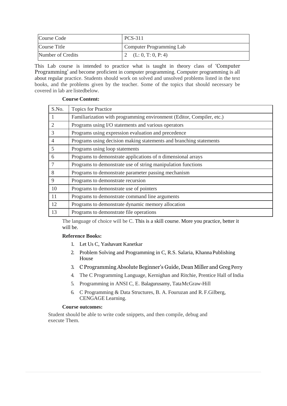| Course Code       | <b>PCS-311</b>           |  |  |  |
|-------------------|--------------------------|--|--|--|
| Course Title      | Computer Programming Lab |  |  |  |
| Number of Credits | 2 (L: 0, T: 0, P: 4)     |  |  |  |

This Lab course is intended to practice what is taught in theory class of 'Computer Programming' and become proficient in computer programming. Computer programming is all about regular practice. Students should work on solved and unsolved problems listed in the text books, and the problems given by the teacher. Some of the topics that should necessary be covered in lab are listedbelow.

#### **Course Content:**

| S.No.          | <b>Topics for Practice</b>                                            |
|----------------|-----------------------------------------------------------------------|
| -1             | Familiarization with programming environment (Editor, Compiler, etc.) |
| $\overline{2}$ | Programs using I/O statements and various operators                   |
| 3              | Programs using expression evaluation and precedence                   |
| $\overline{4}$ | Programs using decision making statements and branching statements    |
| 5              | Programs using loop statements                                        |
| 6              | Programs to demonstrate applications of n dimensional arrays          |
| $\overline{7}$ | Programs to demonstrate use of string manipulation functions          |
| 8              | Programs to demonstrate parameter passing mechanism                   |
| 9              | Programs to demonstrate recursion                                     |
| 10             | Programs to demonstrate use of pointers                               |
| 11             | Programs to demonstrate command line arguments                        |
| 12             | Programs to demonstrate dynamic memory allocation                     |
| 13             | Programs to demonstrate file operations                               |

The language of choice will be C. This is a skill course. More you practice, better it will be.

#### **Reference Books:**

- 1. Let Us C, Yashavant Kanetkar
- 2. Problem Solving and Programming in C, R.S. Salaria, KhannaPublishing House
- 3. C Programming Absolute Beginner's Guide, Dean Miller and Greg Perry
- 4. The C Programming Language, Kernighan and Ritchie, Prentice Hall of India
- 5. Programming in ANSI C, E. Balagurusamy, TataMcGraw-Hill
- 6. C Programming & Data Structures, B. A. Fouruzan and R. F.Gilberg, CENGAGE Learning.

#### **Course outcomes:**

Student should be able to write code snippets, and then compile, debug and execute Them.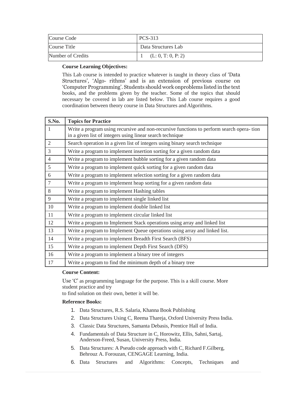| Course Code       | PCS-313             |
|-------------------|---------------------|
| Course Title      | Data Structures Lab |
| Number of Credits | (L: 0, T: 0, P: 2)  |

This Lab course is intended to practice whatever is taught in theory class of 'Data Structures', 'Algo- rithms' and is an extension of previous course on 'Computer Programming'. Students should work onproblems listed inthe text books, and the problems given by the teacher. Some of the topics that should necessary be covered in lab are listed below. This Lab course requires a good coordination between theory course in Data Structures and Algorithms.

| S.No.          | <b>Topics for Practice</b>                                                                                                                            |
|----------------|-------------------------------------------------------------------------------------------------------------------------------------------------------|
|                | Write a program using recursive and non-recursive functions to perform search opera-tion<br>in a given list of integers using linear search technique |
| $\overline{2}$ | Search operation in a given list of integers using binary search technique                                                                            |
| $\overline{3}$ | Write a program to implement insertion sorting for a given random data                                                                                |
| $\overline{4}$ | Write a program to implement bubble sorting for a given random data                                                                                   |
| $\overline{5}$ | Write a program to implement quick sorting for a given random data                                                                                    |
| 6              | Write a program to implement selection sorting for a given random data                                                                                |
| $\overline{7}$ | Write a program to implement heap sorting for a given random data                                                                                     |
| 8              | Write a program to implement Hashing tables                                                                                                           |
| 9              | Write a program to implement single linked list                                                                                                       |
| 10             | Write a program to implement double linked list                                                                                                       |
| 11             | Write a program to implement circular linked list                                                                                                     |
| 12             | Write a program to Implement Stack operations using array and linked list                                                                             |
| 13             | Write a program to Implement Queue operations using array and linked list.                                                                            |
| 14             | Write a program to implement Breadth First Search (BFS)                                                                                               |
| 15             | Write a program to implement Depth First Search (DFS)                                                                                                 |
| 16             | Write a program to implement a binary tree of integers                                                                                                |
| 17             | Write a program to find the minimum depth of a binary tree                                                                                            |

#### **Course Content:**

Use 'C' as programming language for the purpose. This is a skill course. More student practice and try

to find solution on their own, better it will be.

- 1. Data Structures, R.S. Salaria, Khanna Book Publishing
- 2. Data Structures Using C, Reema Thareja, Oxford University Press India.
- 3. Classic Data Structures, Samanta Debasis, Prentice Hall of India.
- 4. Fundamentals of Data Structure in C, Horowitz, Ellis, Sahni, Sartaj, Anderson-Freed, Susan, University Press, India.
- 5. Data Structures: A Pseudo code approach with C, Richard F.Gilberg, Behrouz A. Forouzan, CENGAGE Learning, India.
- 6. Data Structures and Algorithms: Concepts, Techniques and